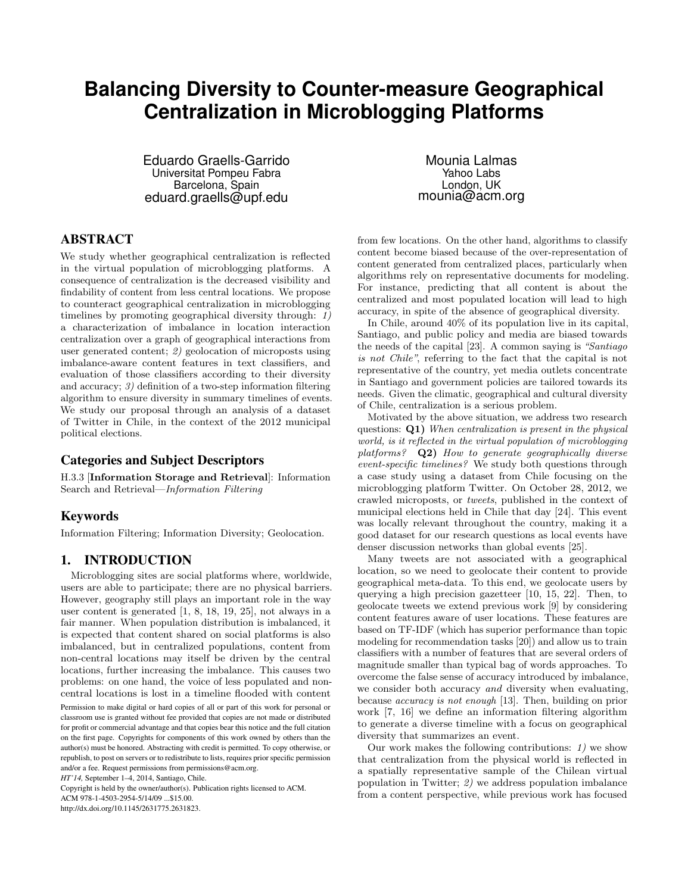# **Balancing Diversity to Counter-measure Geographical Centralization in Microblogging Platforms**

Eduardo Graells-Garrido Universitat Pompeu Fabra Barcelona, Spain eduard.graells@upf.edu

## ABSTRACT

We study whether geographical centralization is reflected in the virtual population of microblogging platforms. A consequence of centralization is the decreased visibility and findability of content from less central locations. We propose to counteract geographical centralization in microblogging timelines by promoting geographical diversity through: 1) a characterization of imbalance in location interaction centralization over a graph of geographical interactions from user generated content; 2) geolocation of microposts using imbalance-aware content features in text classifiers, and evaluation of those classifiers according to their diversity and accuracy; 3) definition of a two-step information filtering algorithm to ensure diversity in summary timelines of events. We study our proposal through an analysis of a dataset of Twitter in Chile, in the context of the 2012 municipal political elections.

## Categories and Subject Descriptors

H.3.3 [Information Storage and Retrieval]: Information Search and Retrieval—Information Filtering

### Keywords

Information Filtering; Information Diversity; Geolocation.

### 1. INTRODUCTION

Microblogging sites are social platforms where, worldwide, users are able to participate; there are no physical barriers. However, geography still plays an important role in the way user content is generated [1, 8, 18, 19, 25], not always in a fair manner. When population distribution is imbalanced, it is expected that content shared on social platforms is also imbalanced, but in centralized populations, content from non-central locations may itself be driven by the central locations, further increasing the imbalance. This causes two problems: on one hand, the voice of less populated and noncentral locations is lost in a timeline flooded with content

Permission to make digital or hard copies of all or part of this work for personal or classroom use is granted without fee provided that copies are not made or distributed for profit or commercial advantage and that copies bear this notice and the full citation on the first page. Copyrights for components of this work owned by others than the author(s) must be honored. Abstracting with credit is permitted. To copy otherwise, or republish, to post on servers or to redistribute to lists, requires prior specific permission and/or a fee. Request permissions from permissions@acm.org.

*HT'14,* September 1–4, 2014, Santiago, Chile.

Copyright is held by the owner/author(s). Publication rights licensed to ACM.

ACM 978-1-4503-2954-5/14/09 ...\$15.00.

http://dx.doi.org/10.1145/2631775.2631823.

Mounia Lalmas Yahoo Labs London, UK mounia@acm.org

from few locations. On the other hand, algorithms to classify content become biased because of the over-representation of content generated from centralized places, particularly when algorithms rely on representative documents for modeling. For instance, predicting that all content is about the centralized and most populated location will lead to high accuracy, in spite of the absence of geographical diversity.

In Chile, around 40% of its population live in its capital, Santiago, and public policy and media are biased towards the needs of the capital [23]. A common saying is "Santiago is not Chile", referring to the fact that the capital is not representative of the country, yet media outlets concentrate in Santiago and government policies are tailored towards its needs. Given the climatic, geographical and cultural diversity of Chile, centralization is a serious problem.

Motivated by the above situation, we address two research questions: Q1) When centralization is present in the physical world, is it reflected in the virtual population of microblogging platforms? Q2) How to generate geographically diverse event-specific timelines? We study both questions through a case study using a dataset from Chile focusing on the microblogging platform Twitter. On October 28, 2012, we crawled microposts, or tweets, published in the context of municipal elections held in Chile that day [24]. This event was locally relevant throughout the country, making it a good dataset for our research questions as local events have denser discussion networks than global events [25].

Many tweets are not associated with a geographical location, so we need to geolocate their content to provide geographical meta-data. To this end, we geolocate users by querying a high precision gazetteer [10, 15, 22]. Then, to geolocate tweets we extend previous work [9] by considering content features aware of user locations. These features are based on TF-IDF (which has superior performance than topic modeling for recommendation tasks [20]) and allow us to train classifiers with a number of features that are several orders of magnitude smaller than typical bag of words approaches. To overcome the false sense of accuracy introduced by imbalance, we consider both accuracy and diversity when evaluating, because accuracy is not enough [13]. Then, building on prior work [7, 16] we define an information filtering algorithm to generate a diverse timeline with a focus on geographical diversity that summarizes an event.

Our work makes the following contributions:  $1$ ) we show that centralization from the physical world is reflected in a spatially representative sample of the Chilean virtual population in Twitter; 2) we address population imbalance from a content perspective, while previous work has focused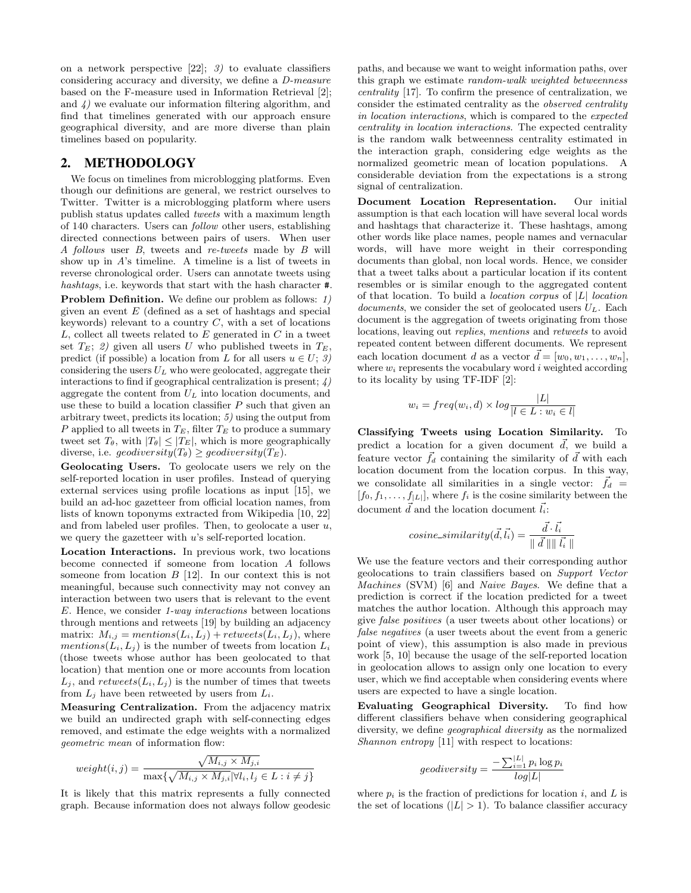on a network perspective  $[22]$ ; 3) to evaluate classifiers considering accuracy and diversity, we define a D-measure based on the F-measure used in Information Retrieval [2]; and 4) we evaluate our information filtering algorithm, and find that timelines generated with our approach ensure geographical diversity, and are more diverse than plain timelines based on popularity.

#### 2. METHODOLOGY

We focus on timelines from microblogging platforms. Even though our definitions are general, we restrict ourselves to Twitter. Twitter is a microblogging platform where users publish status updates called tweets with a maximum length of 140 characters. Users can follow other users, establishing directed connections between pairs of users. When user A follows user B, tweets and re-tweets made by B will show up in A's timeline. A timeline is a list of tweets in reverse chronological order. Users can annotate tweets using hashtags, i.e. keywords that start with the hash character #.

Problem Definition. We define our problem as follows: 1) given an event  $E$  (defined as a set of hashtags and special keywords) relevant to a country  $C$ , with a set of locations  $L$ , collect all tweets related to  $E$  generated in  $C$  in a tweet set  $T_E$ ; 2) given all users U who published tweets in  $T_E$ , predict (if possible) a location from L for all users  $u \in U; \mathcal{Z}$ ) considering the users  $U_L$  who were geolocated, aggregate their interactions to find if geographical centralization is present; 4) aggregate the content from  $U_L$  into location documents, and use these to build a location classifier  $P$  such that given an arbitrary tweet, predicts its location; 5) using the output from P applied to all tweets in  $T_E$ , filter  $T_E$  to produce a summary tweet set  $T_{\theta}$ , with  $|T_{\theta}| \leq |T_E|$ , which is more geographically diverse, i.e.  $geodiversity(T_{\theta}) \ge geodiversity(T_E)$ .

Geolocating Users. To geolocate users we rely on the self-reported location in user profiles. Instead of querying external services using profile locations as input [15], we build an ad-hoc gazetteer from official location names, from lists of known toponyms extracted from Wikipedia [10, 22] and from labeled user profiles. Then, to geolocate a user  $u$ , we query the gazetteer with u's self-reported location.

Location Interactions. In previous work, two locations become connected if someone from location A follows someone from location  $B$  [12]. In our context this is not meaningful, because such connectivity may not convey an interaction between two users that is relevant to the event E. Hence, we consider 1-way interactions between locations through mentions and retweets [19] by building an adjacency matrix:  $M_{i,j} = mentions(L_i, L_j) + retweets(L_i, L_j)$ , where mentions( $L_i, L_j$ ) is the number of tweets from location  $L_i$ (those tweets whose author has been geolocated to that location) that mention one or more accounts from location  $L_j$ , and  $retweets(L_i, L_j)$  is the number of times that tweets from  $L_j$  have been retweeted by users from  $L_i$ .

Measuring Centralization. From the adjacency matrix we build an undirected graph with self-connecting edges removed, and estimate the edge weights with a normalized geometric mean of information flow:

$$
weight(i, j) = \frac{\sqrt{M_{i,j} \times M_{j,i}}}{\max\{\sqrt{M_{i,j} \times M_{j,i}} | \forall l_i, l_j \in L : i \neq j\}}
$$

It is likely that this matrix represents a fully connected graph. Because information does not always follow geodesic paths, and because we want to weight information paths, over this graph we estimate random-walk weighted betweenness centrality [17]. To confirm the presence of centralization, we consider the estimated centrality as the observed centrality in location interactions, which is compared to the expected centrality in location interactions. The expected centrality is the random walk betweenness centrality estimated in the interaction graph, considering edge weights as the normalized geometric mean of location populations. A considerable deviation from the expectations is a strong signal of centralization.

Document Location Representation. Our initial assumption is that each location will have several local words and hashtags that characterize it. These hashtags, among other words like place names, people names and vernacular words, will have more weight in their corresponding documents than global, non local words. Hence, we consider that a tweet talks about a particular location if its content resembles or is similar enough to the aggregated content of that location. To build a *location corpus* of  $|L|$  *location* documents, we consider the set of geolocated users  $U_L$ . Each document is the aggregation of tweets originating from those locations, leaving out replies, mentions and retweets to avoid repeated content between different documents. We represent each location document d as a vector  $\vec{d} = [w_0, w_1, \ldots, w_n],$ where  $w_i$  represents the vocabulary word i weighted according to its locality by using TF-IDF [2]:

$$
w_i = freq(w_i, d) \times log \frac{|L|}{|l \in L : w_i \in l|}
$$

Classifying Tweets using Location Similarity. To predict a location for a given document  $\vec{d}$ , we build a feature vector  $\vec{f}_d$  containing the similarity of  $\vec{d}$  with each location document from the location corpus. In this way, we consolidate all similarities in a single vector:  $\vec{f}_d$  =  $[f_0, f_1, \ldots, f_{|L|}],$  where  $f_i$  is the cosine similarity between the document  $\vec{d}$  and the location document  $\vec{l}_i$ :

$$
cosine\_similarity(\vec{d}, \vec{l_i}) = \frac{\vec{d} \cdot \vec{l_i}}{\parallel \vec{d} \parallel \parallel \vec{l_i} \parallel}
$$

We use the feature vectors and their corresponding author geolocations to train classifiers based on Support Vector Machines (SVM) [6] and Naive Bayes. We define that a prediction is correct if the location predicted for a tweet matches the author location. Although this approach may give false positives (a user tweets about other locations) or false negatives (a user tweets about the event from a generic point of view), this assumption is also made in previous work [5, 10] because the usage of the self-reported location in geolocation allows to assign only one location to every user, which we find acceptable when considering events where users are expected to have a single location.

Evaluating Geographical Diversity. To find how different classifiers behave when considering geographical diversity, we define geographical diversity as the normalized Shannon entropy [11] with respect to locations:

$$
geodiversity = \frac{-\sum_{i=1}^{|L|} p_i \log p_i}{log|L|}
$$

where  $p_i$  is the fraction of predictions for location i, and L is the set of locations  $(|L| > 1)$ . To balance classifier accuracy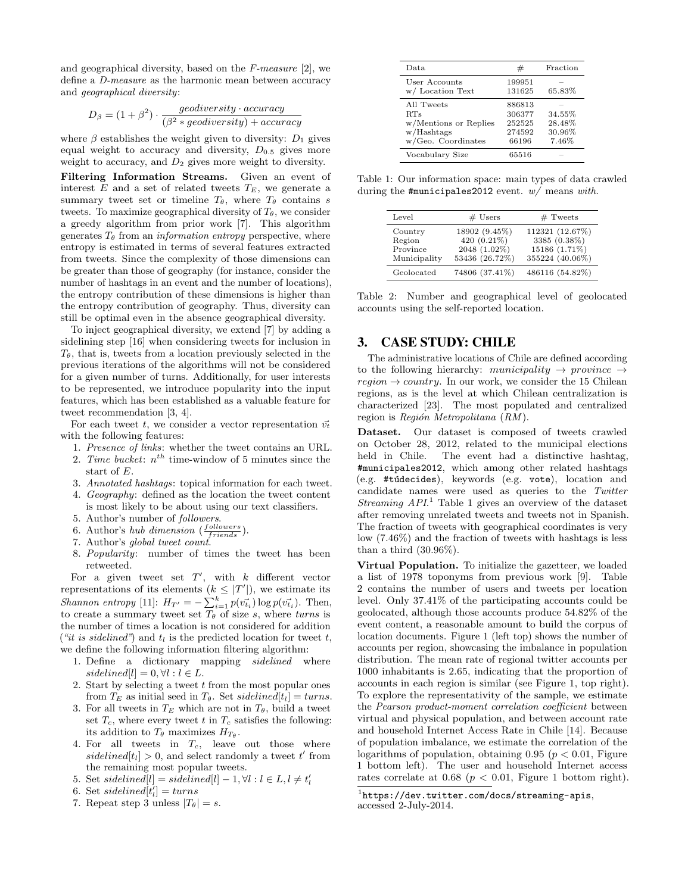and geographical diversity, based on the F-measure [2], we define a D-measure as the harmonic mean between accuracy and geographical diversity:

$$
D_{\beta} = (1 + \beta^2) \cdot \frac{geodiversity \cdot accuracy}{(\beta^2 * geodiversity) + accuracy}
$$

where  $\beta$  establishes the weight given to diversity:  $D_1$  gives equal weight to accuracy and diversity,  $D_{0.5}$  gives more weight to accuracy, and  $D_2$  gives more weight to diversity.

Filtering Information Streams. Given an event of interest  $E$  and a set of related tweets  $T_E$ , we generate a summary tweet set or timeline  $T_{\theta}$ , where  $T_{\theta}$  contains s tweets. To maximize geographical diversity of  $T_{\theta}$ , we consider a greedy algorithm from prior work [7]. This algorithm generates  $T_{\theta}$  from an *information entropy* perspective, where entropy is estimated in terms of several features extracted from tweets. Since the complexity of those dimensions can be greater than those of geography (for instance, consider the number of hashtags in an event and the number of locations), the entropy contribution of these dimensions is higher than the entropy contribution of geography. Thus, diversity can still be optimal even in the absence geographical diversity.

To inject geographical diversity, we extend [7] by adding a sidelining step [16] when considering tweets for inclusion in  $T_{\theta}$ , that is, tweets from a location previously selected in the previous iterations of the algorithms will not be considered for a given number of turns. Additionally, for user interests to be represented, we introduce popularity into the input features, which has been established as a valuable feature for tweet recommendation [3, 4].

For each tweet t, we consider a vector representation  $\vec{v_t}$ with the following features:

- 1. Presence of links: whether the tweet contains an URL.
- 2. Time bucket:  $n^{th}$  time-window of 5 minutes since the start of E.
- 3. Annotated hashtags: topical information for each tweet.
- 4. Geography: defined as the location the tweet content is most likely to be about using our text classifiers.
- 5. Author's number of followers.
- 6. Author's hub dimension  $(\frac{followers}{friends}).$
- 7. Author's global tweet count.
- 8. Popularity: number of times the tweet has been retweeted.

For a given tweet set  $T'$ , with  $k$  different vector representations of its elements  $(k \leq |T'|)$ , we estimate its Shannon entropy [11]:  $H_{T'} = -\sum_{i=1}^{k} p(\vec{v}_{t_i}) \log p(\vec{v}_{t_i}).$  Then, to create a summary tweet set  $\overline{T_{\theta}}$  of size s, where turns is the number of times a location is not considered for addition ("it is sidelined") and  $t_l$  is the predicted location for tweet t, we define the following information filtering algorithm:

- 1. Define a dictionary mapping sidelined where sidelined[l] =  $0, \forall l : l \in L$ .
- 2. Start by selecting a tweet t from the most popular ones from  $T_E$  as initial seed in  $T_{\theta}$ . Set sidelined[t<sub>l</sub>] = turns.
- 3. For all tweets in  $T_E$  which are not in  $T_\theta$ , build a tweet set  $T_c$ , where every tweet t in  $T_c$  satisfies the following: its addition to  $T_{\theta}$  maximizes  $H_{T_{\theta}}$ .
- 4. For all tweets in  $T_c$ , leave out those where sidelined $[t_l] > 0$ , and select randomly a tweet  $t'$  from the remaining most popular tweets.
- 5. Set sidelined[l] = sidelined[l] 1,  $\forall l: l \in L, l \neq t'_{l}$
- 6. Set sidelined $[t'_l] = turns$
- 7. Repeat step 3 unless  $|T_{\theta}| = s$ .

| Data.                                                                          | #                                             | Fraction                            |
|--------------------------------------------------------------------------------|-----------------------------------------------|-------------------------------------|
| User Accounts<br>w/Location Text                                               | 199951<br>131625                              | 65.83%                              |
| All Tweets<br>RTs<br>w/Mentions or Replies<br>w/Hashtags<br>w/Geo. Coordinates | 886813<br>306377<br>252525<br>274592<br>66196 | 34.55%<br>28.48%<br>30.96%<br>7.46% |
| Vocabulary Size                                                                | 65516                                         |                                     |

Table 1: Our information space: main types of data crawled during the #municipales2012 event.  $w/$  means with.

| Level                                         | $#$ Users                                                      | $#$ Tweets                                                          |
|-----------------------------------------------|----------------------------------------------------------------|---------------------------------------------------------------------|
| Country<br>Region<br>Province<br>Municipality | 18902 (9.45%)<br>420 (0.21%)<br>2048 (1.02%)<br>53436 (26.72%) | 112321 (12.67%)<br>3385 (0.38%)<br>15186 (1.71%)<br>355224 (40.06%) |
| Geolocated                                    | 74806 (37.41%)                                                 | 486116 (54.82%)                                                     |

Table 2: Number and geographical level of geolocated accounts using the self-reported location.

## 3. CASE STUDY: CHILE

The administrative locations of Chile are defined according to the following hierarchy: municipality  $\rightarrow$  province  $\rightarrow$  $region \rightarrow country.$  In our work, we consider the 15 Chilean regions, as is the level at which Chilean centralization is characterized [23]. The most populated and centralized region is Región Metropolitana  $(RM)$ .

Dataset. Our dataset is composed of tweets crawled on October 28, 2012, related to the municipal elections held in Chile. The event had a distinctive hashtag, #municipales2012, which among other related hashtags (e.g. #túdecides), keywords (e.g. vote), location and candidate names were used as queries to the Twitter Streaming  $API.$ <sup>1</sup> Table 1 gives an overview of the dataset after removing unrelated tweets and tweets not in Spanish. The fraction of tweets with geographical coordinates is very low (7.46%) and the fraction of tweets with hashtags is less than a third (30.96%).

Virtual Population. To initialize the gazetteer, we loaded a list of 1978 toponyms from previous work [9]. Table 2 contains the number of users and tweets per location level. Only 37.41% of the participating accounts could be geolocated, although those accounts produce 54.82% of the event content, a reasonable amount to build the corpus of location documents. Figure 1 (left top) shows the number of accounts per region, showcasing the imbalance in population distribution. The mean rate of regional twitter accounts per 1000 inhabitants is 2.65, indicating that the proportion of accounts in each region is similar (see Figure 1, top right). To explore the representativity of the sample, we estimate the Pearson product-moment correlation coefficient between virtual and physical population, and between account rate and household Internet Access Rate in Chile [14]. Because of population imbalance, we estimate the correlation of the logarithms of population, obtaining  $0.95$  ( $p < 0.01$ , Figure 1 bottom left). The user and household Internet access rates correlate at  $0.68$  ( $p < 0.01$ , Figure 1 bottom right).

<sup>1</sup> https://dev.twitter.com/docs/streaming-apis, accessed 2-July-2014.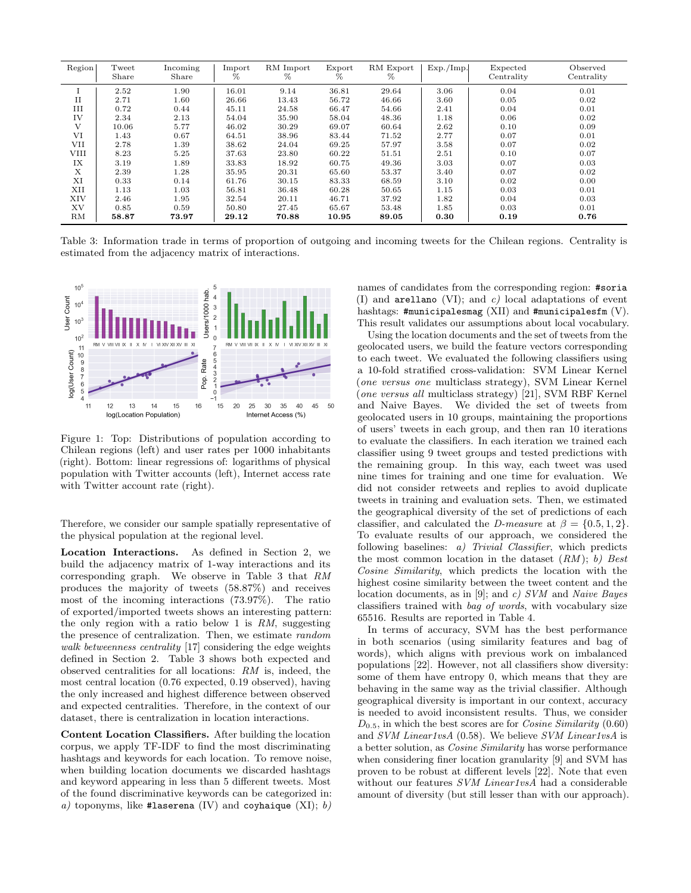| Region       | Tweet<br>Share | Incoming<br>Share | Import<br>% | RM Import<br>% | Export<br>% | RM Export<br>% | Exp./Imp. | Expected<br>Centrality | Observed<br>Centrality |
|--------------|----------------|-------------------|-------------|----------------|-------------|----------------|-----------|------------------------|------------------------|
|              | 2.52           | 1.90              | 16.01       | 9.14           | 36.81       | 29.64          | 3.06      | 0.04                   | 0.01                   |
| $_{\rm II}$  | 2.71           | 1.60              | 26.66       | 13.43          | 56.72       | 46.66          | 3.60      | 0.05                   | 0.02                   |
| Ш            | 0.72           | 0.44              | 45.11       | 24.58          | 66.47       | 54.66          | 2.41      | 0.04                   | 0.01                   |
| IV           | 2.34           | 2.13              | 54.04       | 35.90          | 58.04       | 48.36          | 1.18      | 0.06                   | 0.02                   |
| $\mathbf{V}$ | 10.06          | 5.77              | 46.02       | 30.29          | 69.07       | 60.64          | 2.62      | 0.10                   | 0.09                   |
| VI           | 1.43           | 0.67              | 64.51       | 38.96          | 83.44       | 71.52          | 2.77      | 0.07                   | 0.01                   |
| VII          | 2.78           | 1.39              | 38.62       | 24.04          | 69.25       | 57.97          | 3.58      | 0.07                   | 0.02                   |
| VIII         | 8.23           | 5.25              | 37.63       | 23.80          | 60.22       | 51.51          | 2.51      | 0.10                   | 0.07                   |
| IX           | 3.19           | 1.89              | 33.83       | 18.92          | 60.75       | 49.36          | 3.03      | 0.07                   | 0.03                   |
| X            | 2.39           | 1.28              | 35.95       | 20.31          | 65.60       | 53.37          | 3.40      | 0.07                   | 0.02                   |
| XI           | 0.33           | 0.14              | 61.76       | 30.15          | 83.33       | 68.59          | 3.10      | 0.02                   | 0.00                   |
| XII          | 1.13           | 1.03              | 56.81       | 36.48          | 60.28       | 50.65          | 1.15      | 0.03                   | 0.01                   |
| XIV          | 2.46           | 1.95              | 32.54       | 20.11          | 46.71       | 37.92          | 1.82      | 0.04                   | 0.03                   |
| XV           | 0.85           | 0.59              | 50.80       | 27.45          | 65.67       | 53.48          | 1.85      | 0.03                   | 0.01                   |
| RM           | 58.87          | 73.97             | 29.12       | 70.88          | 10.95       | 89.05          | 0.30      | 0.19                   | 0.76                   |

Table 3: Information trade in terms of proportion of outgoing and incoming tweets for the Chilean regions. Centrality is estimated from the adjacency matrix of interactions.



Figure 1: Top: Distributions of population according to Chilean regions (left) and user rates per 1000 inhabitants (right). Bottom: linear regressions of: logarithms of physical population with Twitter accounts (left), Internet access rate with Twitter account rate (right).

Therefore, we consider our sample spatially representative of the physical population at the regional level.

Location Interactions. As defined in Section 2, we build the adjacency matrix of 1-way interactions and its corresponding graph. We observe in Table 3 that RM produces the majority of tweets (58.87%) and receives most of the incoming interactions (73.97%). The ratio of exported/imported tweets shows an interesting pattern: the only region with a ratio below 1 is  $RM$ , suggesting the presence of centralization. Then, we estimate random walk betweenness centrality [17] considering the edge weights defined in Section 2. Table 3 shows both expected and observed centralities for all locations: RM is, indeed, the most central location (0.76 expected, 0.19 observed), having the only increased and highest difference between observed and expected centralities. Therefore, in the context of our dataset, there is centralization in location interactions.

Content Location Classifiers. After building the location corpus, we apply TF-IDF to find the most discriminating hashtags and keywords for each location. To remove noise, when building location documents we discarded hashtags and keyword appearing in less than 5 different tweets. Most of the found discriminative keywords can be categorized in: a) toponyms, like #laserena (IV) and coyhaique  $(XI)$ ; b) names of candidates from the corresponding region: #soria (I) and arellano (VI); and  $c$ ) local adaptations of event hashtags:  $\text{\#municipalesmag (XII)}$  and  $\text{\#municipalesfm (V)}.$ This result validates our assumptions about local vocabulary.

Using the location documents and the set of tweets from the geolocated users, we build the feature vectors corresponding to each tweet. We evaluated the following classifiers using a 10-fold stratified cross-validation: SVM Linear Kernel (one versus one multiclass strategy), SVM Linear Kernel (one versus all multiclass strategy) [21], SVM RBF Kernel and Naive Bayes. We divided the set of tweets from geolocated users in 10 groups, maintaining the proportions of users' tweets in each group, and then ran 10 iterations to evaluate the classifiers. In each iteration we trained each classifier using 9 tweet groups and tested predictions with the remaining group. In this way, each tweet was used nine times for training and one time for evaluation. We did not consider retweets and replies to avoid duplicate tweets in training and evaluation sets. Then, we estimated the geographical diversity of the set of predictions of each classifier, and calculated the D-measure at  $\beta = \{0.5, 1, 2\}.$ To evaluate results of our approach, we considered the following baselines: a) Trivial Classifier, which predicts the most common location in the dataset  $(RM)$ ; b) Best Cosine Similarity, which predicts the location with the highest cosine similarity between the tweet content and the location documents, as in [9]; and c) SVM and Naive Bayes classifiers trained with bag of words, with vocabulary size 65516. Results are reported in Table 4.

In terms of accuracy, SVM has the best performance in both scenarios (using similarity features and bag of words), which aligns with previous work on imbalanced populations [22]. However, not all classifiers show diversity: some of them have entropy 0, which means that they are behaving in the same way as the trivial classifier. Although geographical diversity is important in our context, accuracy is needed to avoid inconsistent results. Thus, we consider  $D_{0.5}$ , in which the best scores are for *Cosine Similarity* (0.60) and SVM Linear1vsA (0.58). We believe SVM Linear1vsA is a better solution, as Cosine Similarity has worse performance when considering finer location granularity [9] and SVM has proven to be robust at different levels [22]. Note that even without our features SVM Linear1vsA had a considerable amount of diversity (but still lesser than with our approach).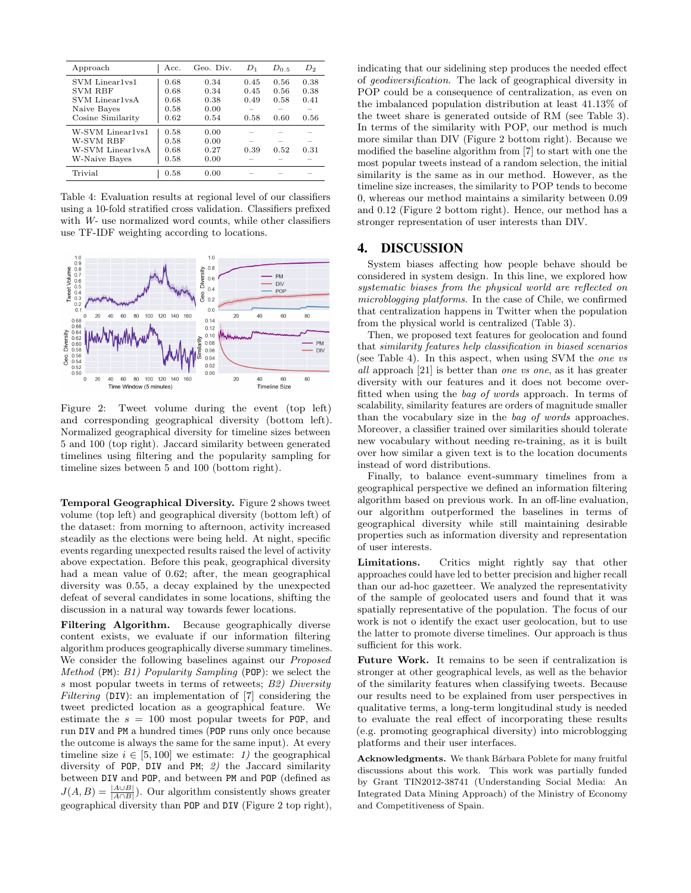| Approach          | Acc. | Geo. Div. | $D_1$ | $D_{0.5}$ | $D_2$                    |
|-------------------|------|-----------|-------|-----------|--------------------------|
| SVM Linear1vs1    | 0.68 | 0.34      | 0.45  | 0.56      | 0.38                     |
| <b>SVM RBF</b>    | 0.68 | 0.34      | 0.45  | 0.56      | 0.38                     |
| SVM Linear1vsA    | 0.68 | 0.38      | 0.49  | 0.58      | 0.41                     |
| Naive Bayes       | 0.58 | 0.00      |       |           |                          |
| Cosine Similarity | 0.62 | 0.54      | 0.58  | 0.60      | 0.56                     |
| W-SVM Linear1vs1  | 0.58 | 0.00      |       |           |                          |
| W-SVM RBF         | 0.58 | 0.00      |       |           |                          |
| W-SVM Linear1vsA  | 0.68 | 0.27      | 0.39  | 0.52      | 0.31                     |
| W-Naive Bayes     | 0.58 | 0.00      |       |           | $\overline{\phantom{a}}$ |
| Trivial           | 0.58 | 0.00      |       |           |                          |

Table 4: Evaluation results at regional level of our classifiers using a 10-fold stratified cross validation. Classifiers prefixed with W- use normalized word counts, while other classifiers use TF-IDF weighting according to locations.



Figure 2: Tweet volume during the event (top left) and corresponding geographical diversity (bottom left). Normalized geographical diversity for timeline sizes between 5 and 100 (top right). Jaccard similarity between generated timelines using filtering and the popularity sampling for timeline sizes between 5 and 100 (bottom right).

Temporal Geographical Diversity. Figure 2 shows tweet volume (top left) and geographical diversity (bottom left) of the dataset: from morning to afternoon, activity increased steadily as the elections were being held. At night, specific events regarding unexpected results raised the level of activity above expectation. Before this peak, geographical diversity had a mean value of 0.62; after, the mean geographical diversity was 0.55, a decay explained by the unexpected defeat of several candidates in some locations, shifting the discussion in a natural way towards fewer locations.

Filtering Algorithm. Because geographically diverse content exists, we evaluate if our information filtering algorithm produces geographically diverse summary timelines. We consider the following baselines against our *Proposed* Method (PM): B1) Popularity Sampling (POP): we select the s most popular tweets in terms of retweets; B2) Diversity Filtering (DIV): an implementation of [7] considering the tweet predicted location as a geographical feature. We estimate the  $s = 100$  most popular tweets for POP, and run DIV and PM a hundred times (POP runs only once because the outcome is always the same for the same input). At every timeline size  $i \in [5, 100]$  we estimate: 1) the geographical diversity of POP, DIV and PM; 2) the Jaccard similarity between DIV and POP, and between PM and POP (defined as  $J(A, B) = \frac{|A \cup B|}{|A \cap B|}$ . Our algorithm consistently shows greater geographical diversity than POP and DIV (Figure 2 top right), indicating that our sidelining step produces the needed effect of geodiversification. The lack of geographical diversity in POP could be a consequence of centralization, as even on the imbalanced population distribution at least 41.13% of the tweet share is generated outside of RM (see Table 3). In terms of the similarity with POP, our method is much more similar than DIV (Figure 2 bottom right). Because we modified the baseline algorithm from [7] to start with one the most popular tweets instead of a random selection, the initial similarity is the same as in our method. However, as the timeline size increases, the similarity to POP tends to become 0, whereas our method maintains a similarity between 0.09 and 0.12 (Figure 2 bottom right). Hence, our method has a stronger representation of user interests than DIV.

## 4. DISCUSSION

System biases affecting how people behave should be considered in system design. In this line, we explored how systematic biases from the physical world are reflected on microblogging platforms. In the case of Chile, we confirmed that centralization happens in Twitter when the population from the physical world is centralized (Table 3).

Then, we proposed text features for geolocation and found that similarity features help classification in biased scenarios (see Table 4). In this aspect, when using SVM the one vs all approach [21] is better than one vs one, as it has greater diversity with our features and it does not become overfitted when using the bag of words approach. In terms of scalability, similarity features are orders of magnitude smaller than the vocabulary size in the bag of words approaches. Moreover, a classifier trained over similarities should tolerate new vocabulary without needing re-training, as it is built over how similar a given text is to the location documents instead of word distributions.

Finally, to balance event-summary timelines from a geographical perspective we defined an information filtering algorithm based on previous work. In an off-line evaluation, our algorithm outperformed the baselines in terms of geographical diversity while still maintaining desirable properties such as information diversity and representation of user interests.

Limitations. Critics might rightly say that other approaches could have led to better precision and higher recall than our ad-hoc gazetteer. We analyzed the representativity of the sample of geolocated users and found that it was spatially representative of the population. The focus of our work is not o identify the exact user geolocation, but to use the latter to promote diverse timelines. Our approach is thus sufficient for this work.

Future Work. It remains to be seen if centralization is stronger at other geographical levels, as well as the behavior of the similarity features when classifying tweets. Because our results need to be explained from user perspectives in qualitative terms, a long-term longitudinal study is needed to evaluate the real effect of incorporating these results (e.g. promoting geographical diversity) into microblogging platforms and their user interfaces.

Acknowledgments. We thank Bárbara Poblete for many fruitful discussions about this work. This work was partially funded by Grant TIN2012-38741 (Understanding Social Media: An Integrated Data Mining Approach) of the Ministry of Economy and Competitiveness of Spain.